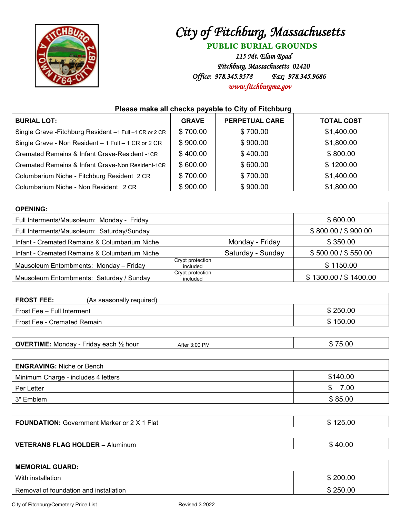

## *City of Fitchburg, Massachusetts*

**PUBLIC BURIAL GROUNDS**

*115 Mt. Elam Road Fitchburg, Massachusetts 01420 Office: 978.345.9578 Fax: 978.345.9686 [www.fitchburgma.gov](http://www.fitchburgma.gov/)* 

## **Please make all checks payable to City of Fitchburg**

| <b>BURIAL LOT:</b>                                      | <b>GRAVE</b> | <b>PERPETUAL CARE</b> | <b>TOTAL COST</b> |
|---------------------------------------------------------|--------------|-----------------------|-------------------|
| Single Grave - Fitchburg Resident -1 Full -1 CR or 2 CR | \$700.00     | \$700.00              | \$1,400.00        |
| Single Grave - Non Resident - 1 Full - 1 CR or 2 CR     | \$900.00     | \$900.00              | \$1,800.00        |
| Cremated Remains & Infant Grave-Resident -1CR           | \$400.00     | \$400.00              | \$800.00          |
| Cremated Remains & Infant Grave-Non Resident-1CR        | \$600.00     | \$600.00              | \$1200.00         |
| Columbarium Niche - Fitchburg Resident -2 CR            | \$700.00     | \$700.00              | \$1,400.00        |
| Columbarium Niche - Non Resident - 2 CR                 | \$900.00     | \$900.00              | \$1,800.00        |

| <b>OPENING:</b>                               |                              |                   |                       |
|-----------------------------------------------|------------------------------|-------------------|-----------------------|
| Full Interments/Mausoleum: Monday - Friday    |                              |                   | \$600.00              |
| Full Interments/Mausoleum: Saturday/Sunday    |                              |                   | \$800.00 / \$900.00   |
| Infant - Cremated Remains & Columbarium Niche |                              | Monday - Friday   | \$350.00              |
| Infant - Cremated Remains & Columbarium Niche |                              | Saturday - Sunday | \$500.00 / \$550.00   |
| Mausoleum Entombments: Monday - Friday        | Crypt protection<br>included |                   | \$1150.00             |
| Mausoleum Entombments: Saturday / Sunday      | Crypt protection<br>included |                   | \$1300.00 / \$1400.00 |

| <b>FROST FEE:</b><br>(As seasonally required) |          |
|-----------------------------------------------|----------|
| Frost Fee - Full Interment                    | \$250.00 |
| Frost Fee - Cremated Remain                   | \$150.00 |
|                                               |          |

| <b>OVERTIME:</b><br>Monday -<br>Fridav each<br>$\frac{1}{2}$ hour<br>$\cdot$ 3:00 PM<br>After | 75.00<br>- D |
|-----------------------------------------------------------------------------------------------|--------------|
|-----------------------------------------------------------------------------------------------|--------------|

| <b>ENGRAVING: Niche or Bench</b>    |             |  |  |  |
|-------------------------------------|-------------|--|--|--|
| Minimum Charge - includes 4 letters | \$140.00    |  |  |  |
| Per Letter                          | 7.00<br>\$. |  |  |  |
| 3" Emblem                           | \$85.00     |  |  |  |

| <b>FOUNDATION: Government Marker or 2 X 1</b><br>⊺Flat<br>ъĐ. | 125.00<br>$\overline{A}$ |
|---------------------------------------------------------------|--------------------------|
|---------------------------------------------------------------|--------------------------|

**VETERANS FLAG HOLDER** – Aluminum **\$** 40.000 \$

| т | ັ<br>un a<br>v | × |  |  |  |
|---|----------------|---|--|--|--|
|   |                |   |  |  |  |

| <b>MEMORIAL GUARD:</b>                 |          |  |  |
|----------------------------------------|----------|--|--|
| With installation                      | \$200.00 |  |  |
| Removal of foundation and installation | \$250.00 |  |  |